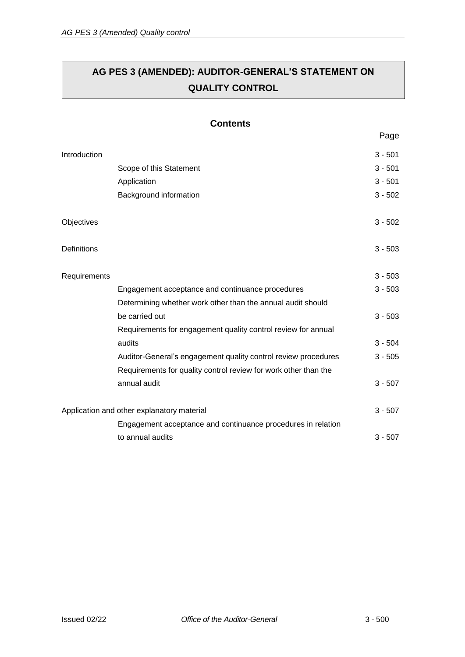# **AG PES 3 (AMENDED): AUDITOR-GENERAL'S STATEMENT ON QUALITY CONTROL**

### **Contents**

|              |                                                                 | , uyu     |
|--------------|-----------------------------------------------------------------|-----------|
| Introduction |                                                                 | $3 - 501$ |
|              | Scope of this Statement                                         | $3 - 501$ |
|              | Application                                                     | $3 - 501$ |
|              | Background information                                          | $3 - 502$ |
| Objectives   |                                                                 | $3 - 502$ |
| Definitions  |                                                                 | $3 - 503$ |
| Requirements |                                                                 | $3 - 503$ |
|              | Engagement acceptance and continuance procedures                | $3 - 503$ |
|              | Determining whether work other than the annual audit should     |           |
|              | be carried out                                                  | $3 - 503$ |
|              | Requirements for engagement quality control review for annual   |           |
|              | audits                                                          | $3 - 504$ |
|              | Auditor-General's engagement quality control review procedures  | $3 - 505$ |
|              | Requirements for quality control review for work other than the |           |
|              | annual audit                                                    | $3 - 507$ |
|              | Application and other explanatory material                      | $3 - 507$ |
|              | Engagement acceptance and continuance procedures in relation    |           |
|              | to annual audits                                                | $3 - 507$ |
|              |                                                                 |           |

Page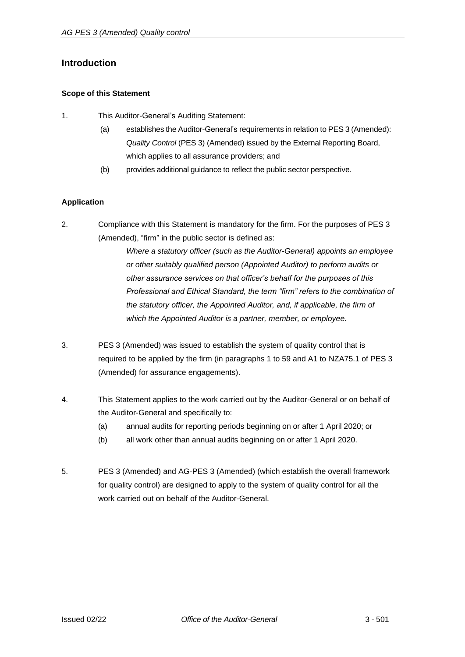### <span id="page-1-0"></span>**Introduction**

### <span id="page-1-1"></span>**Scope of this Statement**

- 1. This Auditor-General's Auditing Statement:
	- (a) establishes the Auditor-General's requirements in relation to PES 3 (Amended): *Quality Control* (PES 3) (Amended) issued by the External Reporting Board, which applies to all assurance providers; and
	- (b) provides additional guidance to reflect the public sector perspective.

### <span id="page-1-2"></span>**Application**

2. Compliance with this Statement is mandatory for the firm. For the purposes of PES 3 (Amended), "firm" in the public sector is defined as:

> *Where a statutory officer (such as the Auditor-General) appoints an employee or other suitably qualified person (Appointed Auditor) to perform audits or other assurance services on that officer's behalf for the purposes of this Professional and Ethical Standard, the term "firm" refers to the combination of the statutory officer, the Appointed Auditor, and, if applicable, the firm of which the Appointed Auditor is a partner, member, or employee.*

- 3. PES 3 (Amended) was issued to establish the system of quality control that is required to be applied by the firm (in paragraphs 1 to 59 and A1 to NZA75.1 of PES 3 (Amended) for assurance engagements).
- 4. This Statement applies to the work carried out by the Auditor-General or on behalf of the Auditor-General and specifically to:
	- (a) annual audits for reporting periods beginning on or after 1 April 2020; or
	- (b) all work other than annual audits beginning on or after 1 April 2020.
- 5. PES 3 (Amended) and AG-PES 3 (Amended) (which establish the overall framework for quality control) are designed to apply to the system of quality control for all the work carried out on behalf of the Auditor-General.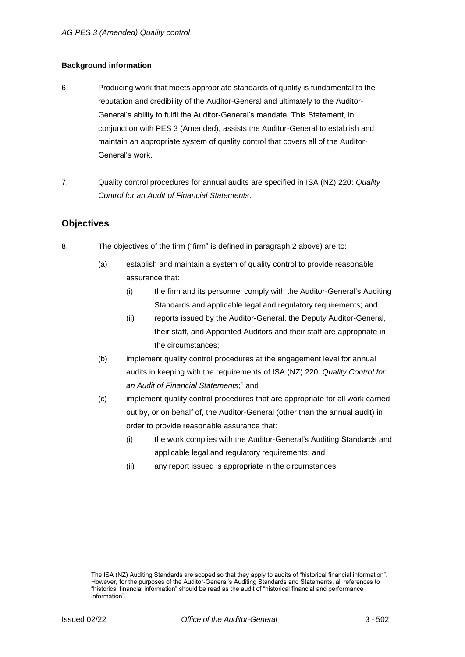### <span id="page-2-0"></span>**Background information**

- 6. Producing work that meets appropriate standards of quality is fundamental to the reputation and credibility of the Auditor-General and ultimately to the Auditor-General's ability to fulfil the Auditor-General's mandate. This Statement, in conjunction with PES 3 (Amended), assists the Auditor-General to establish and maintain an appropriate system of quality control that covers all of the Auditor-General's work.
- 7. Quality control procedures for annual audits are specified in ISA (NZ) 220: *Quality Control for an Audit of Financial Statements*.

### <span id="page-2-1"></span>**Objectives**

- 8. The objectives of the firm ("firm" is defined in paragraph 2 above) are to:
	- (a) establish and maintain a system of quality control to provide reasonable assurance that:
		- (i) the firm and its personnel comply with the Auditor-General's Auditing Standards and applicable legal and regulatory requirements; and
		- (ii) reports issued by the Auditor-General, the Deputy Auditor-General, their staff, and Appointed Auditors and their staff are appropriate in the circumstances;
	- (b) implement quality control procedures at the engagement level for annual audits in keeping with the requirements of ISA (NZ) 220: *Quality Control for an Audit of Financial Statements*[;](#page-2-2) <sup>1</sup> and
	- (c) implement quality control procedures that are appropriate for all work carried out by, or on behalf of, the Auditor-General (other than the annual audit) in order to provide reasonable assurance that:
		- (i) the work complies with the Auditor-General's Auditing Standards and applicable legal and regulatory requirements; and
		- (ii) any report issued is appropriate in the circumstances.

<span id="page-2-2"></span>The ISA (NZ) Auditing Standards are scoped so that they apply to audits of "historical financial information". However, for the purposes of the Auditor-General's Auditing Standards and Statements, all references to "historical financial information" should be read as the audit of "historical financial and performance information".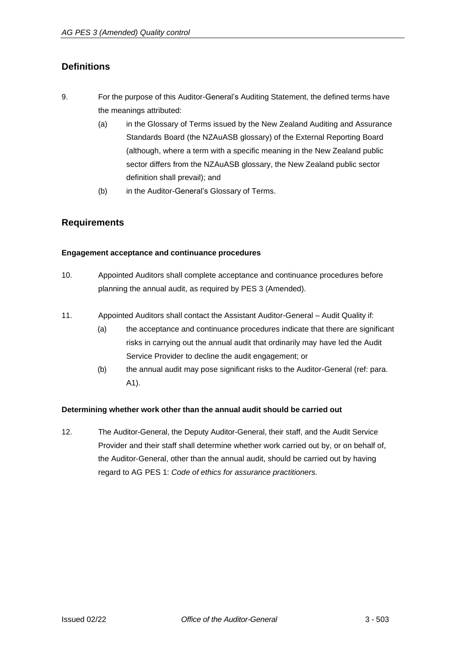# <span id="page-3-0"></span>**Definitions**

- 9. For the purpose of this Auditor-General's Auditing Statement, the defined terms have the meanings attributed:
	- (a) in the Glossary of Terms issued by the New Zealand Auditing and Assurance Standards Board (the NZAuASB glossary) of the External Reporting Board (although, where a term with a specific meaning in the New Zealand public sector differs from the NZAuASB glossary, the New Zealand public sector definition shall prevail); and
	- (b) in the Auditor-General's Glossary of Terms.

### <span id="page-3-1"></span>**Requirements**

### <span id="page-3-2"></span>**Engagement acceptance and continuance procedures**

- 10. Appointed Auditors shall complete acceptance and continuance procedures before planning the annual audit, as required by PES 3 (Amended).
- 11. Appointed Auditors shall contact the Assistant Auditor-General Audit Quality if:
	- (a) the acceptance and continuance procedures indicate that there are significant risks in carrying out the annual audit that ordinarily may have led the Audit Service Provider to decline the audit engagement; or
	- (b) the annual audit may pose significant risks to the Auditor-General (ref: para. A1).

### <span id="page-3-3"></span>**Determining whether work other than the annual audit should be carried out**

12. The Auditor-General, the Deputy Auditor-General, their staff, and the Audit Service Provider and their staff shall determine whether work carried out by, or on behalf of, the Auditor-General, other than the annual audit, should be carried out by having regard to AG PES 1: *Code of ethics for assurance practitioners.*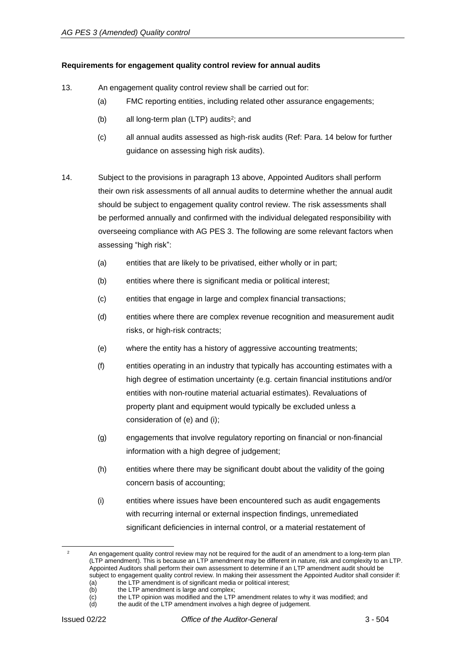### <span id="page-4-0"></span>**Requirements for engagement quality control review for annual audits**

- 13. An engagement quality control review shall be carried out for:
	- (a) FMC reporting entities, including related other assurance engagements;
	- (b) all long-term plan (LTP) audits<sup>2</sup>; and
	- (c) all annual audits assessed as high-risk audits (Ref: Para. 14 below for further guidance on assessing high risk audits).
- 14. Subject to the provisions in paragraph 13 above, Appointed Auditors shall perform their own risk assessments of all annual audits to determine whether the annual audit should be subject to engagement quality control review. The risk assessments shall be performed annually and confirmed with the individual delegated responsibility with overseeing compliance with AG PES 3. The following are some relevant factors when assessing "high risk":
	- (a) entities that are likely to be privatised, either wholly or in part;
	- (b) entities where there is significant media or political interest;
	- (c) entities that engage in large and complex financial transactions;
	- (d) entities where there are complex revenue recognition and measurement audit risks, or high-risk contracts;
	- (e) where the entity has a history of aggressive accounting treatments;
	- (f) entities operating in an industry that typically has accounting estimates with a high degree of estimation uncertainty (e.g. certain financial institutions and/or entities with non-routine material actuarial estimates). Revaluations of property plant and equipment would typically be excluded unless a consideration of (e) and (i);
	- (g) engagements that involve regulatory reporting on financial or non-financial information with a high degree of judgement;
	- (h) entities where there may be significant doubt about the validity of the going concern basis of accounting;
	- (i) entities where issues have been encountered such as audit engagements with recurring internal or external inspection findings, unremediated significant deficiencies in internal control, or a material restatement of

An engagement quality control review may not be required for the audit of an amendment to a long-term plan (LTP amendment). This is because an LTP amendment may be different in nature, risk and complexity to an LTP. Appointed Auditors shall perform their own assessment to determine if an LTP amendment audit should be subject to engagement quality control review. In making their assessment the Appointed Auditor shall consider if: (a) the LTP amendment is of significant media or political interest;

<sup>(</sup>b) the LTP amendment is large and complex;

 $\overline{c}$  the LTP opinion was modified and the LTP amendment relates to why it was modified; and  $\overline{c}$  the audit of the LTP amendment involves a bigh degree of judgement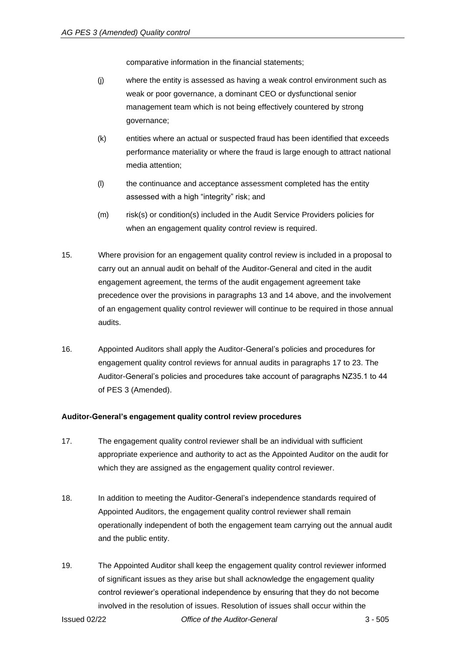comparative information in the financial statements;

- (j) where the entity is assessed as having a weak control environment such as weak or poor governance, a dominant CEO or dysfunctional senior management team which is not being effectively countered by strong governance;
- (k) entities where an actual or suspected fraud has been identified that exceeds performance materiality or where the fraud is large enough to attract national media attention;
- (l) the continuance and acceptance assessment completed has the entity assessed with a high "integrity" risk; and
- (m) risk(s) or condition(s) included in the Audit Service Providers policies for when an engagement quality control review is required.
- 15. Where provision for an engagement quality control review is included in a proposal to carry out an annual audit on behalf of the Auditor-General and cited in the audit engagement agreement, the terms of the audit engagement agreement take precedence over the provisions in paragraphs 13 and 14 above, and the involvement of an engagement quality control reviewer will continue to be required in those annual audits.
- 16. Appointed Auditors shall apply the Auditor-General's policies and procedures for engagement quality control reviews for annual audits in paragraphs 17 to 23. The Auditor-General's policies and procedures take account of paragraphs NZ35.1 to 44 of PES 3 (Amended).

### <span id="page-5-0"></span>**Auditor-General's engagement quality control review procedures**

- 17. The engagement quality control reviewer shall be an individual with sufficient appropriate experience and authority to act as the Appointed Auditor on the audit for which they are assigned as the engagement quality control reviewer.
- 18. In addition to meeting the Auditor-General's independence standards required of Appointed Auditors, the engagement quality control reviewer shall remain operationally independent of both the engagement team carrying out the annual audit and the public entity.
- 19. The Appointed Auditor shall keep the engagement quality control reviewer informed of significant issues as they arise but shall acknowledge the engagement quality control reviewer's operational independence by ensuring that they do not become involved in the resolution of issues. Resolution of issues shall occur within the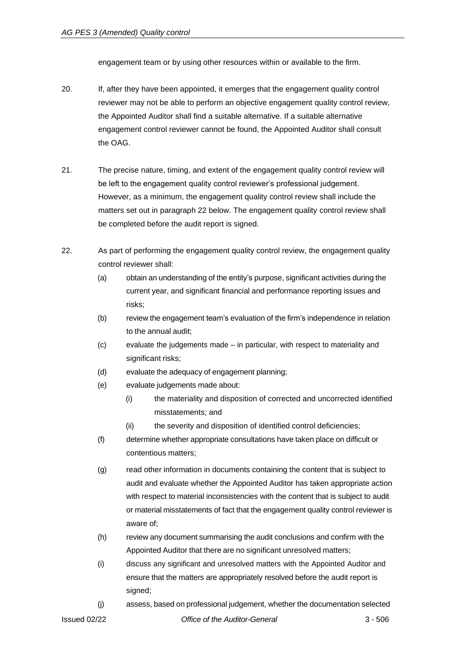engagement team or by using other resources within or available to the firm.

- 20. If, after they have been appointed, it emerges that the engagement quality control reviewer may not be able to perform an objective engagement quality control review, the Appointed Auditor shall find a suitable alternative. If a suitable alternative engagement control reviewer cannot be found, the Appointed Auditor shall consult the OAG.
- 21. The precise nature, timing, and extent of the engagement quality control review will be left to the engagement quality control reviewer's professional judgement. However, as a minimum, the engagement quality control review shall include the matters set out in paragraph 22 below. The engagement quality control review shall be completed before the audit report is signed.
- 22. As part of performing the engagement quality control review, the engagement quality control reviewer shall:
	- (a) obtain an understanding of the entity's purpose, significant activities during the current year, and significant financial and performance reporting issues and risks;
	- (b) review the engagement team's evaluation of the firm's independence in relation to the annual audit;
	- (c) evaluate the judgements made in particular, with respect to materiality and significant risks;
	- (d) evaluate the adequacy of engagement planning;
	- (e) evaluate judgements made about:
		- (i) the materiality and disposition of corrected and uncorrected identified misstatements; and
		- (ii) the severity and disposition of identified control deficiencies;
	- (f) determine whether appropriate consultations have taken place on difficult or contentious matters;
	- (g) read other information in documents containing the content that is subject to audit and evaluate whether the Appointed Auditor has taken appropriate action with respect to material inconsistencies with the content that is subject to audit or material misstatements of fact that the engagement quality control reviewer is aware of;
	- (h) review any document summarising the audit conclusions and confirm with the Appointed Auditor that there are no significant unresolved matters;
	- (i) discuss any significant and unresolved matters with the Appointed Auditor and ensure that the matters are appropriately resolved before the audit report is signed:
	- (j) assess, based on professional judgement, whether the documentation selected